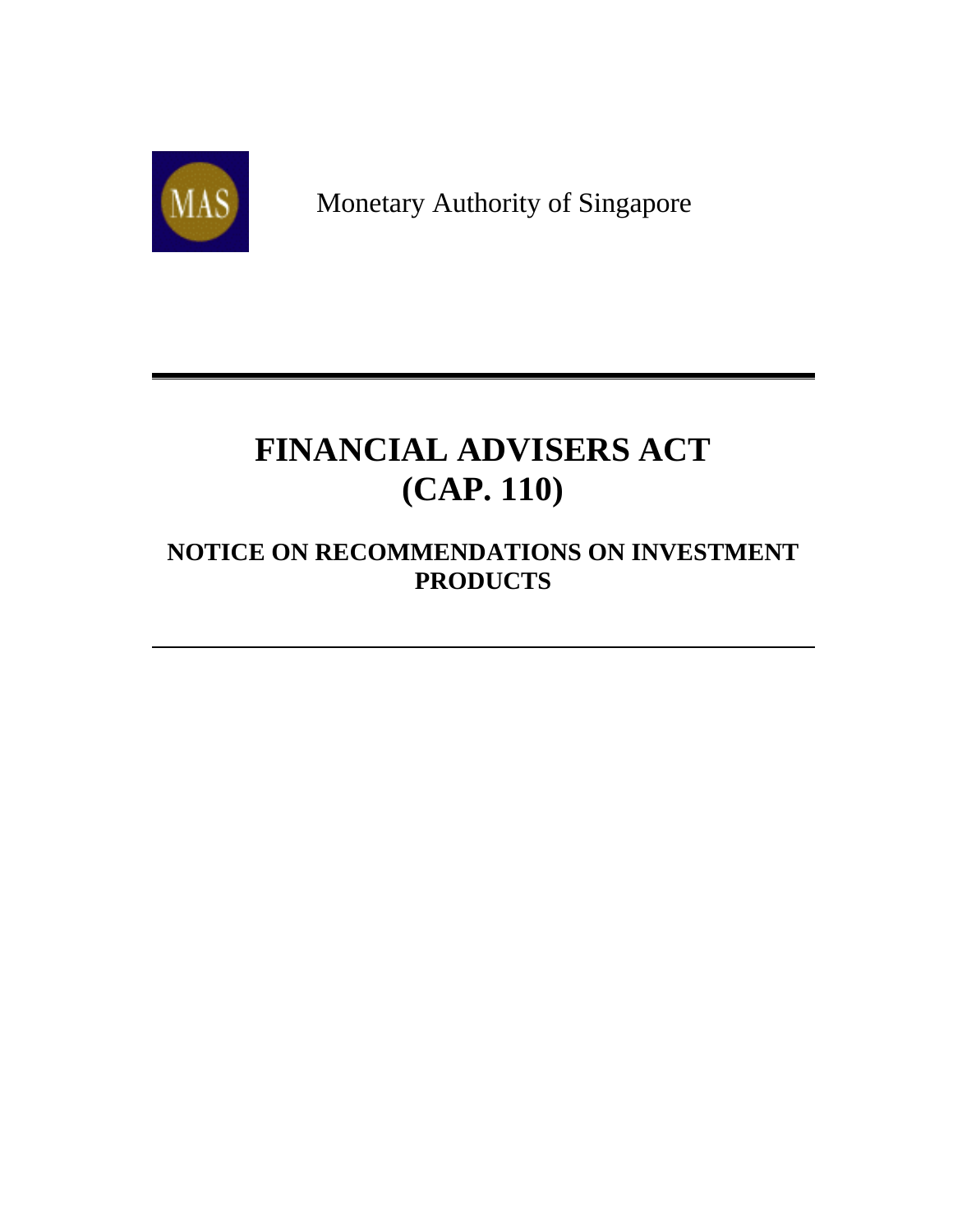

Monetary Authority of Singapore

# **FINANCIAL ADVISERS ACT (CAP. 110)**

## **NOTICE ON RECOMMENDATIONS ON INVESTMENT PRODUCTS**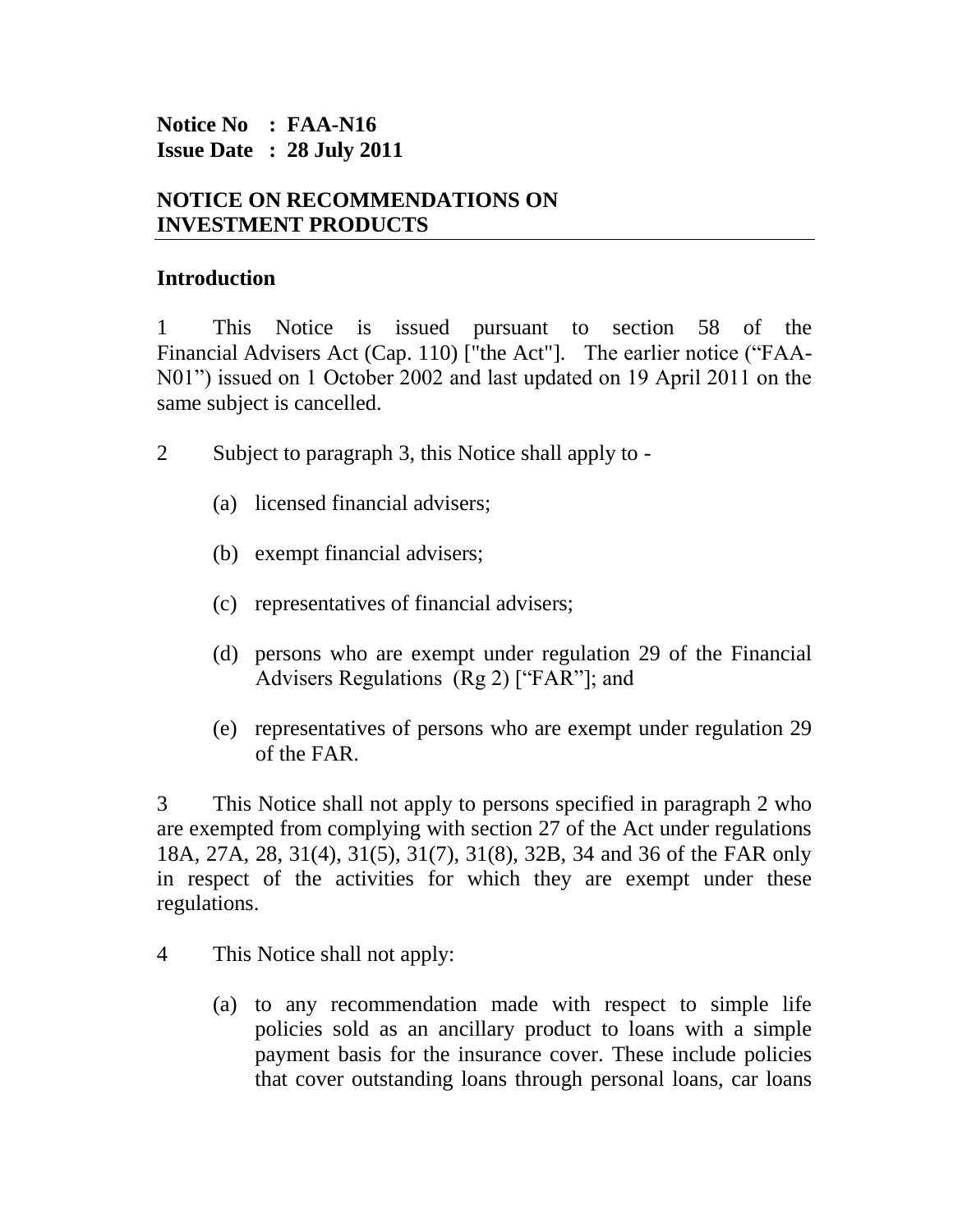#### **Notice No : FAA-N16 Issue Date : 28 July 2011**

#### **NOTICE ON RECOMMENDATIONS ON INVESTMENT PRODUCTS**

#### **Introduction**

1 This Notice is issued pursuant to section 58 of the Financial Advisers Act (Cap. 110) ["the Act"]. The earlier notice ("FAA-N01") issued on 1 October 2002 and last updated on 19 April 2011 on the same subject is cancelled.

- 2 Subject to paragraph 3, this Notice shall apply to
	- (a) licensed financial advisers;
	- (b) exempt financial advisers;
	- (c) representatives of financial advisers;
	- (d) persons who are exempt under regulation 29 of the Financial Advisers Regulations (Rg 2) ["FAR"]; and
	- (e) representatives of persons who are exempt under regulation 29 of the FAR.

3 This Notice shall not apply to persons specified in paragraph 2 who are exempted from complying with section 27 of the Act under regulations 18A, 27A, 28, 31(4), 31(5), 31(7), 31(8), 32B, 34 and 36 of the FAR only in respect of the activities for which they are exempt under these regulations.

- 4 This Notice shall not apply:
	- (a) to any recommendation made with respect to simple life policies sold as an ancillary product to loans with a simple payment basis for the insurance cover. These include policies that cover outstanding loans through personal loans, car loans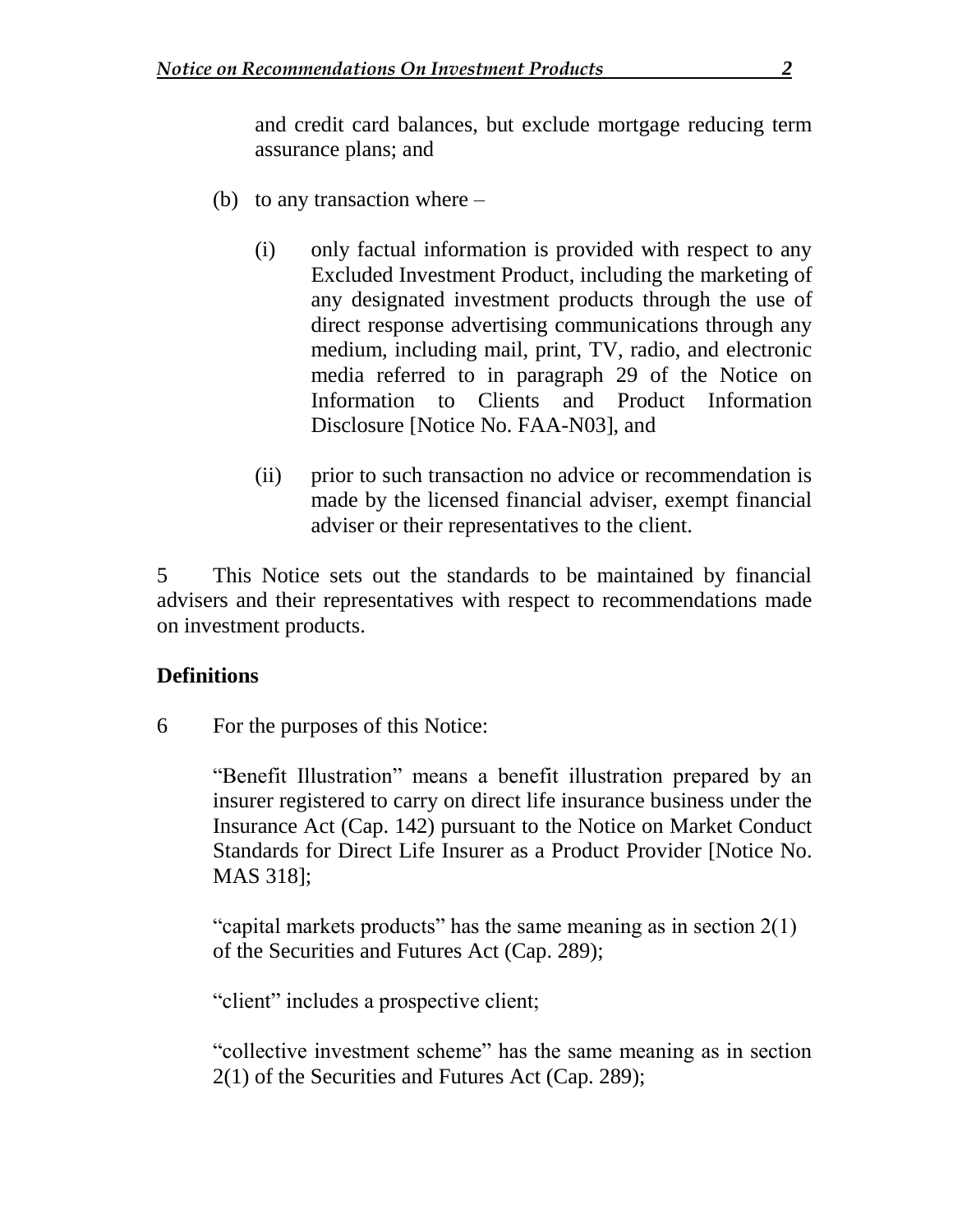and credit card balances, but exclude mortgage reducing term assurance plans; and

- (b) to any transaction where
	- (i) only factual information is provided with respect to any Excluded Investment Product, including the marketing of any designated investment products through the use of direct response advertising communications through any medium, including mail, print, TV, radio, and electronic media referred to in paragraph 29 of the Notice on Information to Clients and Product Information Disclosure [Notice No. FAA-N03], and
	- (ii) prior to such transaction no advice or recommendation is made by the licensed financial adviser, exempt financial adviser or their representatives to the client.

5 This Notice sets out the standards to be maintained by financial advisers and their representatives with respect to recommendations made on investment products.

#### **Definitions**

6 For the purposes of this Notice:

"Benefit Illustration" means a benefit illustration prepared by an insurer registered to carry on direct life insurance business under the Insurance Act (Cap. 142) pursuant to the Notice on Market Conduct Standards for Direct Life Insurer as a Product Provider [Notice No. MAS 318];

"capital markets products" has the same meaning as in section  $2(1)$ of the Securities and Futures Act (Cap. 289);

"client" includes a prospective client;

"collective investment scheme" has the same meaning as in section 2(1) of the Securities and Futures Act (Cap. 289);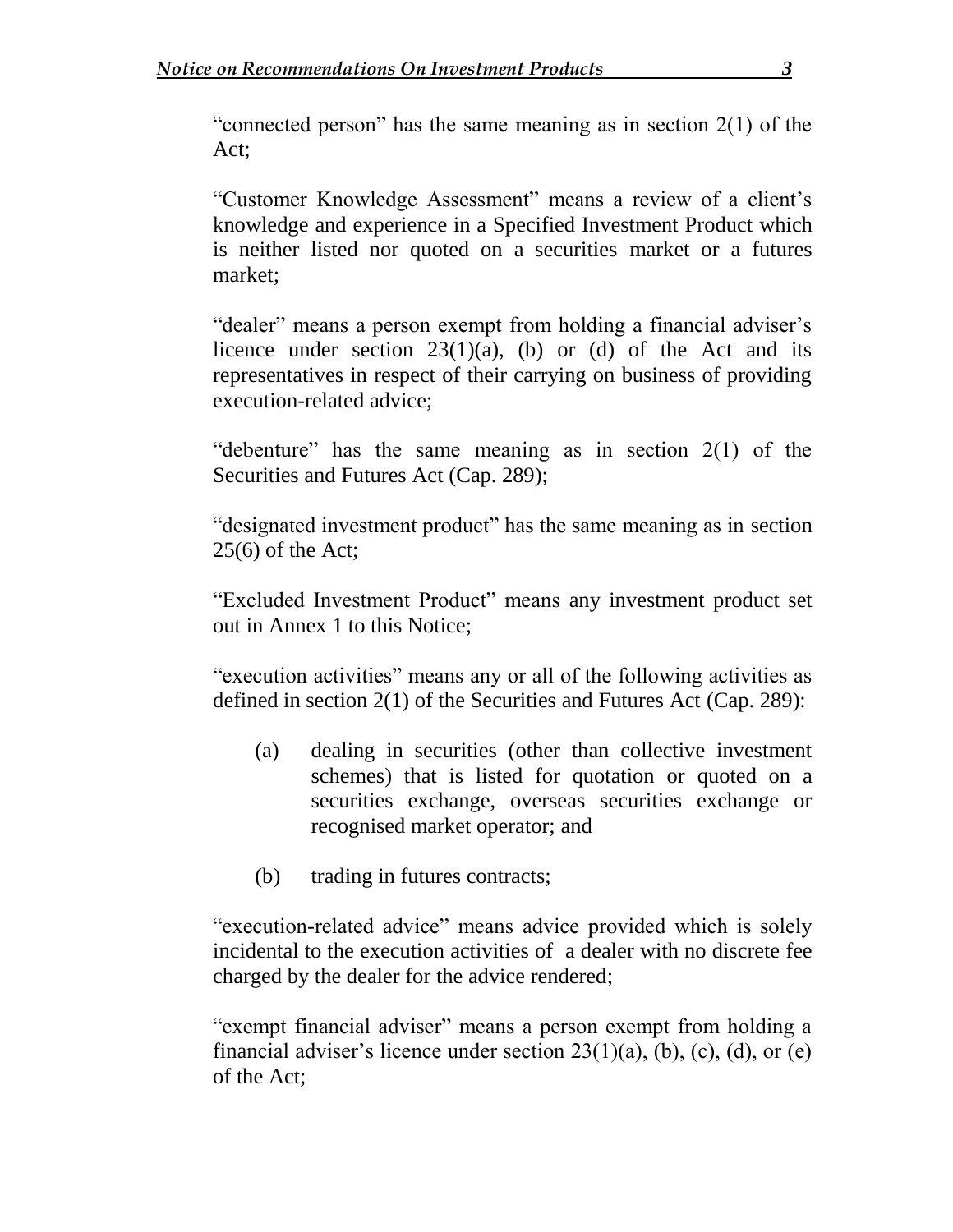"connected person" has the same meaning as in section 2(1) of the Act;

"Customer Knowledge Assessment" means a review of a client's knowledge and experience in a Specified Investment Product which is neither listed nor quoted on a securities market or a futures market;

"dealer" means a person exempt from holding a financial adviser's licence under section  $23(1)(a)$ , (b) or (d) of the Act and its representatives in respect of their carrying on business of providing execution-related advice;

"debenture" has the same meaning as in section 2(1) of the Securities and Futures Act (Cap. 289);

"designated investment product" has the same meaning as in section  $25(6)$  of the Act;

"Excluded Investment Product" means any investment product set out in Annex 1 to this Notice;

"execution activities" means any or all of the following activities as defined in section 2(1) of the Securities and Futures Act (Cap. 289):

- (a) dealing in securities (other than collective investment schemes) that is listed for quotation or quoted on a securities exchange, overseas securities exchange or recognised market operator; and
- (b) trading in futures contracts;

"execution-related advice" means advice provided which is solely incidental to the execution activities of a dealer with no discrete fee charged by the dealer for the advice rendered;

"exempt financial adviser" means a person exempt from holding a financial adviser's licence under section  $23(1)(a)$ , (b), (c), (d), or (e) of the Act;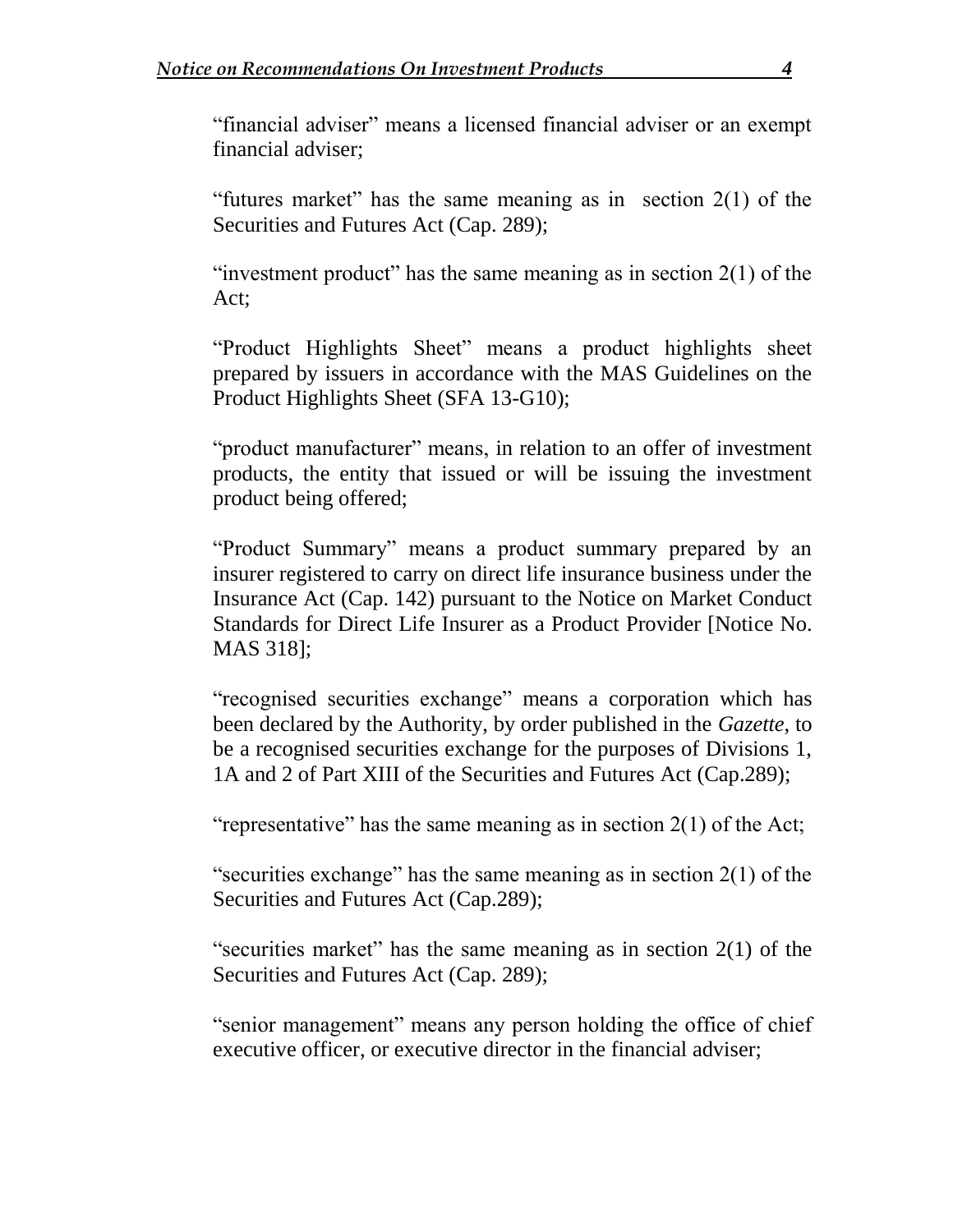"financial adviser" means a licensed financial adviser or an exempt financial adviser;

"futures market" has the same meaning as in section 2(1) of the Securities and Futures Act (Cap. 289);

"investment product" has the same meaning as in section  $2(1)$  of the Act;

"Product Highlights Sheet" means a product highlights sheet prepared by issuers in accordance with the MAS Guidelines on the Product Highlights Sheet (SFA 13-G10);

"product manufacturer" means, in relation to an offer of investment products, the entity that issued or will be issuing the investment product being offered;

"Product Summary" means a product summary prepared by an insurer registered to carry on direct life insurance business under the Insurance Act (Cap. 142) pursuant to the Notice on Market Conduct Standards for Direct Life Insurer as a Product Provider [Notice No. MAS 318];

"recognised securities exchange" means a corporation which has been declared by the Authority, by order published in the *Gazette*, to be a recognised securities exchange for the purposes of Divisions 1, 1A and 2 of Part XIII of the Securities and Futures Act (Cap.289);

"representative" has the same meaning as in section  $2(1)$  of the Act;

"securities exchange" has the same meaning as in section 2(1) of the Securities and Futures Act (Cap.289);

"securities market" has the same meaning as in section 2(1) of the Securities and Futures Act (Cap. 289);

"senior management" means any person holding the office of chief executive officer, or executive director in the financial adviser;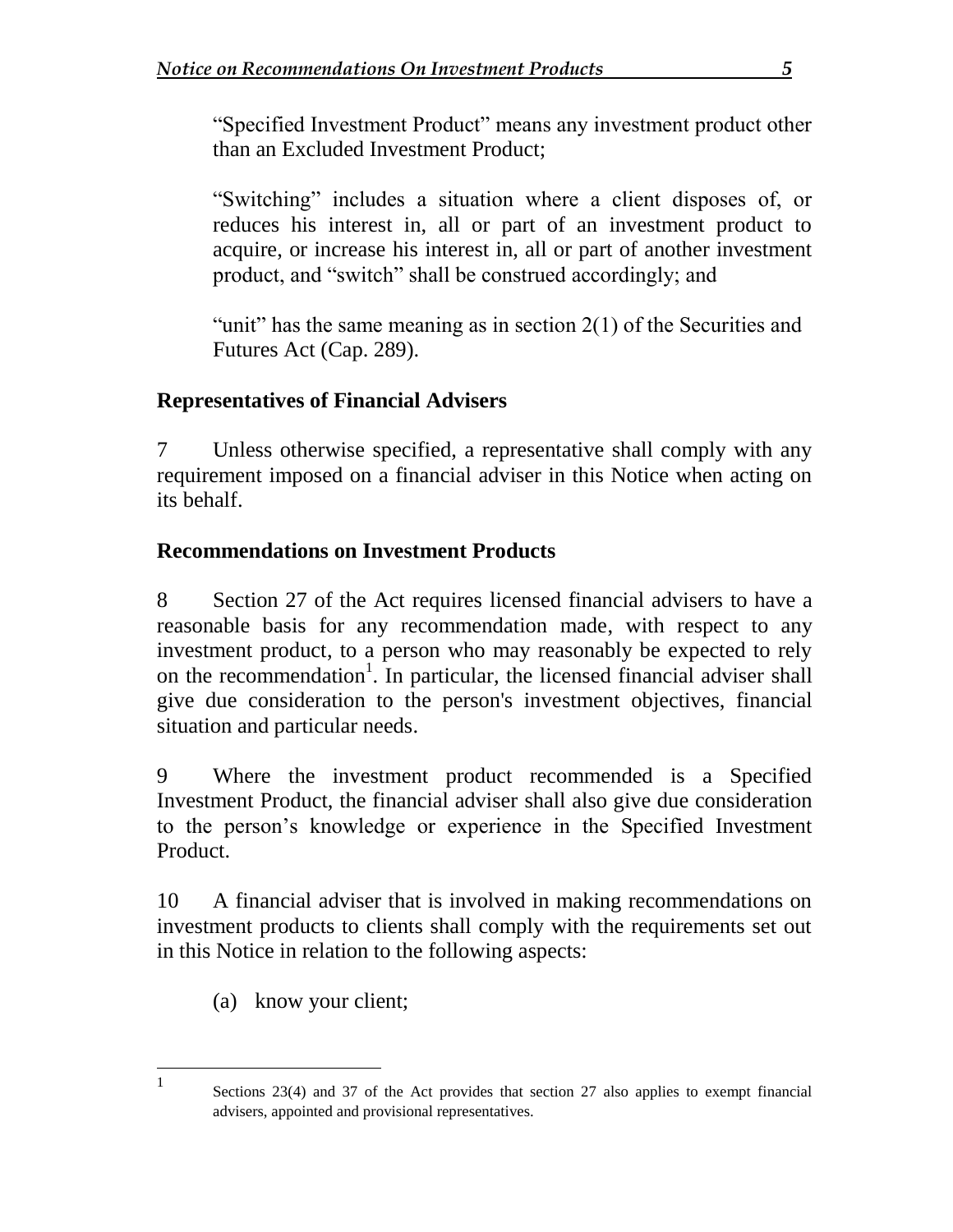"Specified Investment Product" means any investment product other than an Excluded Investment Product;

"Switching" includes a situation where a client disposes of, or reduces his interest in, all or part of an investment product to acquire, or increase his interest in, all or part of another investment product, and "switch" shall be construed accordingly; and

"unit" has the same meaning as in section 2(1) of the Securities and Futures Act (Cap. 289).

## **Representatives of Financial Advisers**

7 Unless otherwise specified, a representative shall comply with any requirement imposed on a financial adviser in this Notice when acting on its behalf.

## **Recommendations on Investment Products**

8 Section 27 of the Act requires licensed financial advisers to have a reasonable basis for any recommendation made, with respect to any investment product, to a person who may reasonably be expected to rely on the recommendation<sup>1</sup>. In particular, the licensed financial adviser shall give due consideration to the person's investment objectives, financial situation and particular needs.

9 Where the investment product recommended is a Specified Investment Product, the financial adviser shall also give due consideration to the person's knowledge or experience in the Specified Investment Product.

10 A financial adviser that is involved in making recommendations on investment products to clients shall comply with the requirements set out in this Notice in relation to the following aspects:

(a) know your client;

 1

Sections 23(4) and 37 of the Act provides that section 27 also applies to exempt financial advisers, appointed and provisional representatives.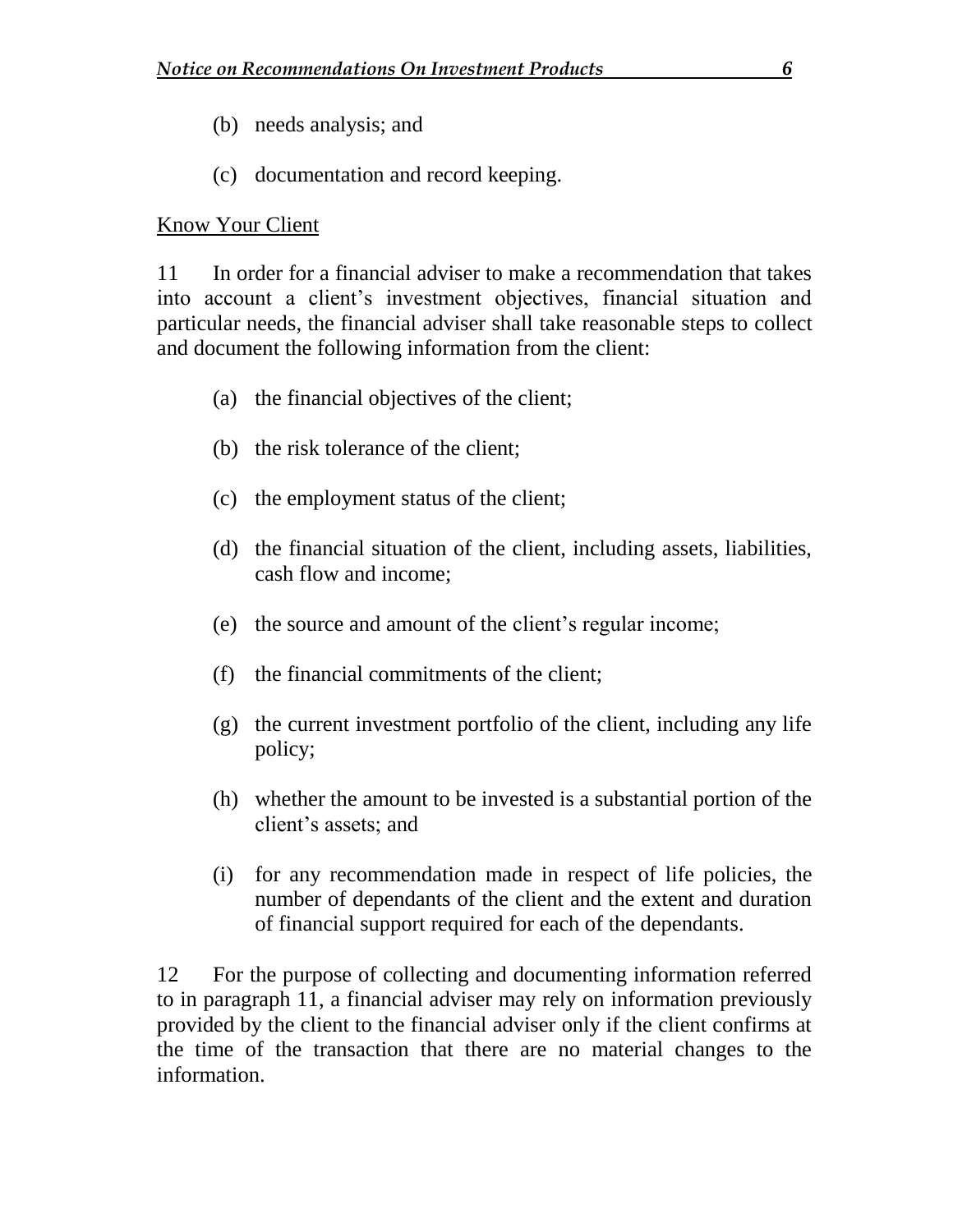- (b) needs analysis; and
- (c) documentation and record keeping.

#### Know Your Client

11 In order for a financial adviser to make a recommendation that takes into account a client's investment objectives, financial situation and particular needs, the financial adviser shall take reasonable steps to collect and document the following information from the client:

- (a) the financial objectives of the client;
- (b) the risk tolerance of the client;
- (c) the employment status of the client;
- (d) the financial situation of the client, including assets, liabilities, cash flow and income;
- (e) the source and amount of the client's regular income;
- (f) the financial commitments of the client;
- (g) the current investment portfolio of the client, including any life policy;
- (h) whether the amount to be invested is a substantial portion of the client's assets; and
- (i) for any recommendation made in respect of life policies, the number of dependants of the client and the extent and duration of financial support required for each of the dependants.

12 For the purpose of collecting and documenting information referred to in paragraph 11, a financial adviser may rely on information previously provided by the client to the financial adviser only if the client confirms at the time of the transaction that there are no material changes to the information.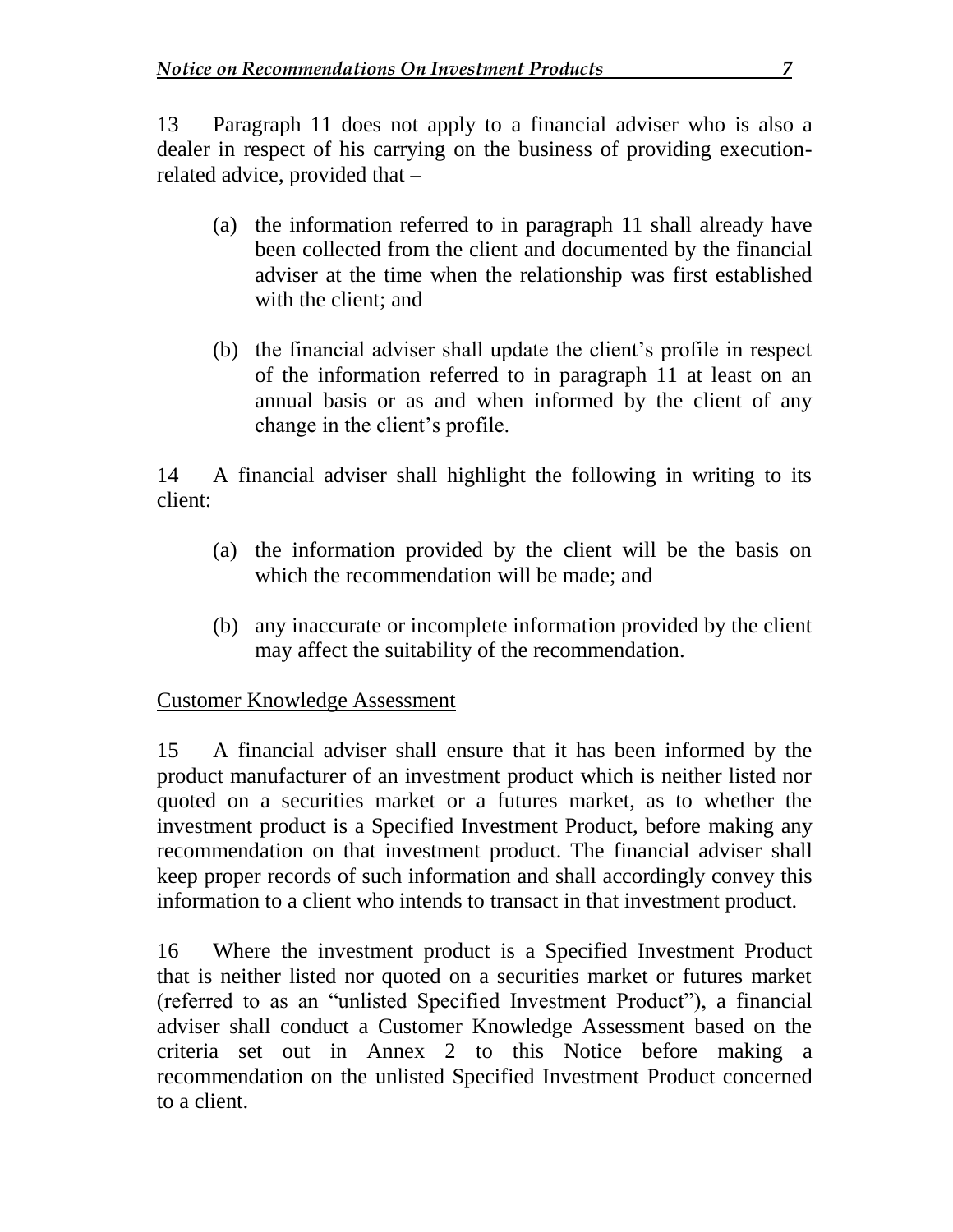13 Paragraph 11 does not apply to a financial adviser who is also a dealer in respect of his carrying on the business of providing executionrelated advice, provided that –

- (a) the information referred to in paragraph 11 shall already have been collected from the client and documented by the financial adviser at the time when the relationship was first established with the client; and
- (b) the financial adviser shall update the client's profile in respect of the information referred to in paragraph 11 at least on an annual basis or as and when informed by the client of any change in the client's profile.

14 A financial adviser shall highlight the following in writing to its client:

- (a) the information provided by the client will be the basis on which the recommendation will be made; and
- (b) any inaccurate or incomplete information provided by the client may affect the suitability of the recommendation.

#### Customer Knowledge Assessment

15 A financial adviser shall ensure that it has been informed by the product manufacturer of an investment product which is neither listed nor quoted on a securities market or a futures market, as to whether the investment product is a Specified Investment Product, before making any recommendation on that investment product. The financial adviser shall keep proper records of such information and shall accordingly convey this information to a client who intends to transact in that investment product.

16 Where the investment product is a Specified Investment Product that is neither listed nor quoted on a securities market or futures market (referred to as an "unlisted Specified Investment Product"), a financial adviser shall conduct a Customer Knowledge Assessment based on the criteria set out in Annex 2 to this Notice before making a recommendation on the unlisted Specified Investment Product concerned to a client.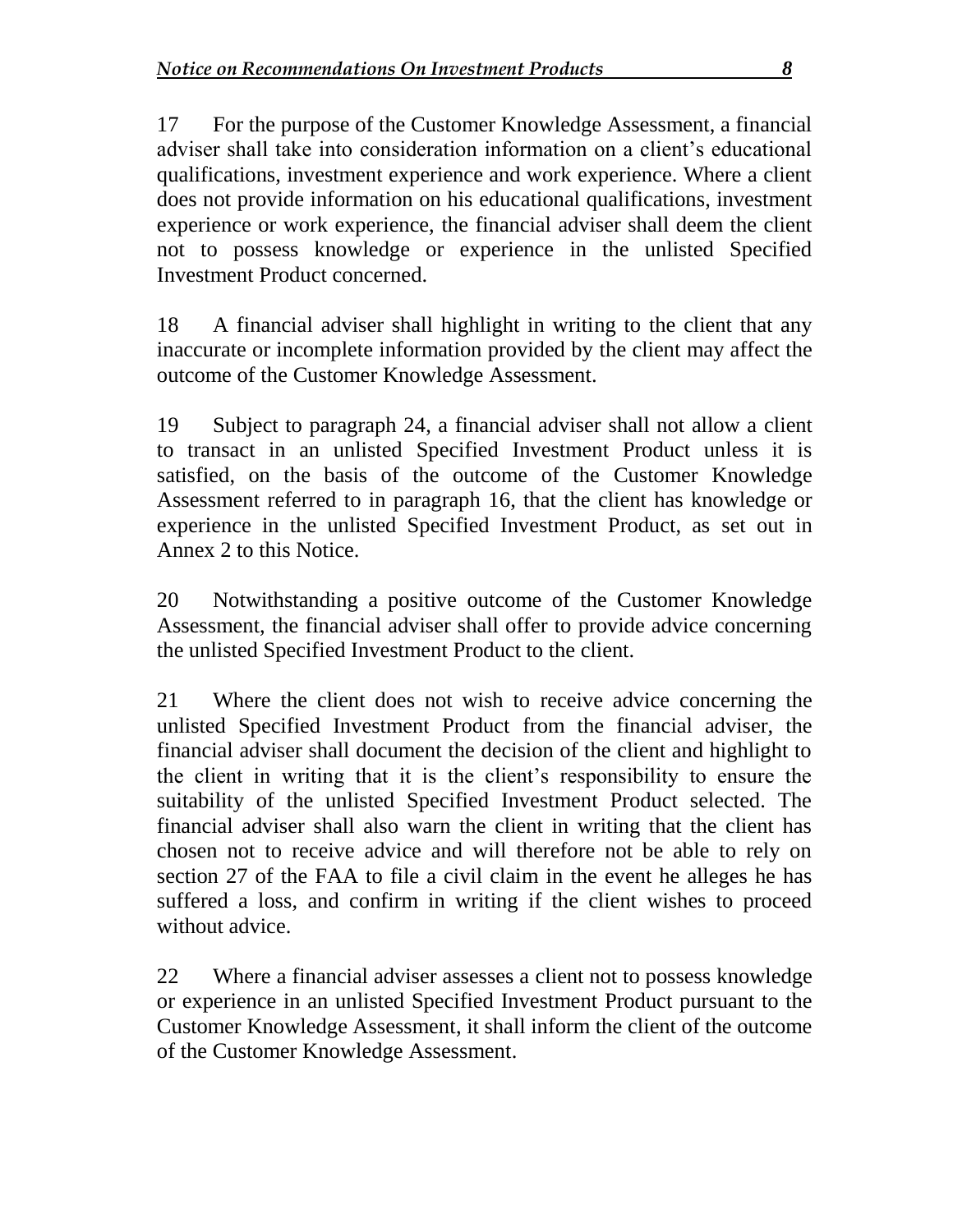17 For the purpose of the Customer Knowledge Assessment, a financial adviser shall take into consideration information on a client's educational qualifications, investment experience and work experience. Where a client does not provide information on his educational qualifications, investment experience or work experience, the financial adviser shall deem the client not to possess knowledge or experience in the unlisted Specified Investment Product concerned.

18 A financial adviser shall highlight in writing to the client that any inaccurate or incomplete information provided by the client may affect the outcome of the Customer Knowledge Assessment.

19 Subject to paragraph 24, a financial adviser shall not allow a client to transact in an unlisted Specified Investment Product unless it is satisfied, on the basis of the outcome of the Customer Knowledge Assessment referred to in paragraph 16, that the client has knowledge or experience in the unlisted Specified Investment Product, as set out in Annex 2 to this Notice.

20 Notwithstanding a positive outcome of the Customer Knowledge Assessment, the financial adviser shall offer to provide advice concerning the unlisted Specified Investment Product to the client.

21 Where the client does not wish to receive advice concerning the unlisted Specified Investment Product from the financial adviser, the financial adviser shall document the decision of the client and highlight to the client in writing that it is the client's responsibility to ensure the suitability of the unlisted Specified Investment Product selected. The financial adviser shall also warn the client in writing that the client has chosen not to receive advice and will therefore not be able to rely on section 27 of the FAA to file a civil claim in the event he alleges he has suffered a loss, and confirm in writing if the client wishes to proceed without advice.

22 Where a financial adviser assesses a client not to possess knowledge or experience in an unlisted Specified Investment Product pursuant to the Customer Knowledge Assessment, it shall inform the client of the outcome of the Customer Knowledge Assessment.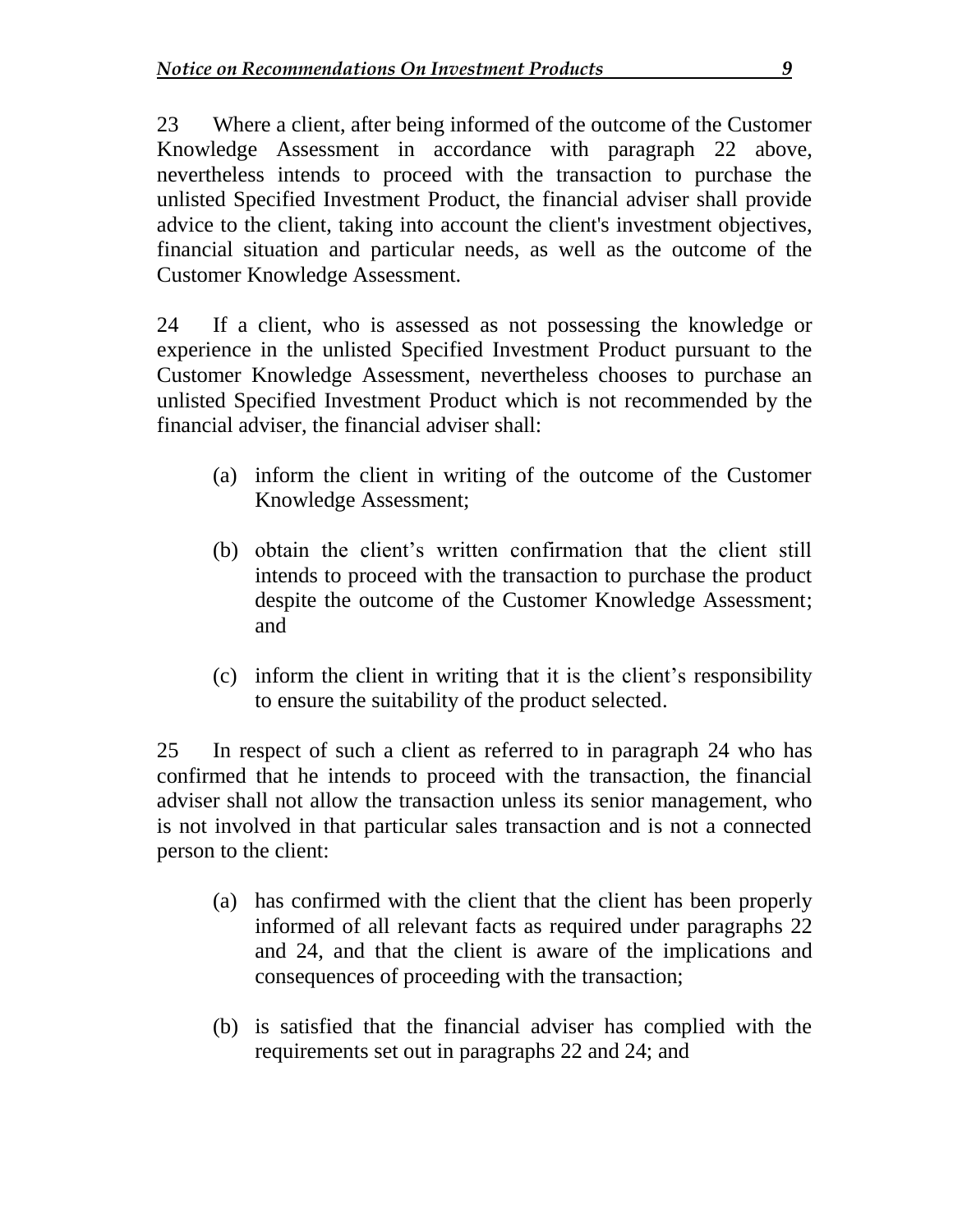23 Where a client, after being informed of the outcome of the Customer Knowledge Assessment in accordance with paragraph 22 above, nevertheless intends to proceed with the transaction to purchase the unlisted Specified Investment Product, the financial adviser shall provide advice to the client, taking into account the client's investment objectives, financial situation and particular needs, as well as the outcome of the Customer Knowledge Assessment.

24 If a client, who is assessed as not possessing the knowledge or experience in the unlisted Specified Investment Product pursuant to the Customer Knowledge Assessment, nevertheless chooses to purchase an unlisted Specified Investment Product which is not recommended by the financial adviser, the financial adviser shall:

- (a) inform the client in writing of the outcome of the Customer Knowledge Assessment;
- (b) obtain the client's written confirmation that the client still intends to proceed with the transaction to purchase the product despite the outcome of the Customer Knowledge Assessment; and
- (c) inform the client in writing that it is the client's responsibility to ensure the suitability of the product selected.

25 In respect of such a client as referred to in paragraph 24 who has confirmed that he intends to proceed with the transaction, the financial adviser shall not allow the transaction unless its senior management, who is not involved in that particular sales transaction and is not a connected person to the client:

- (a) has confirmed with the client that the client has been properly informed of all relevant facts as required under paragraphs 22 and 24, and that the client is aware of the implications and consequences of proceeding with the transaction;
- (b) is satisfied that the financial adviser has complied with the requirements set out in paragraphs 22 and 24; and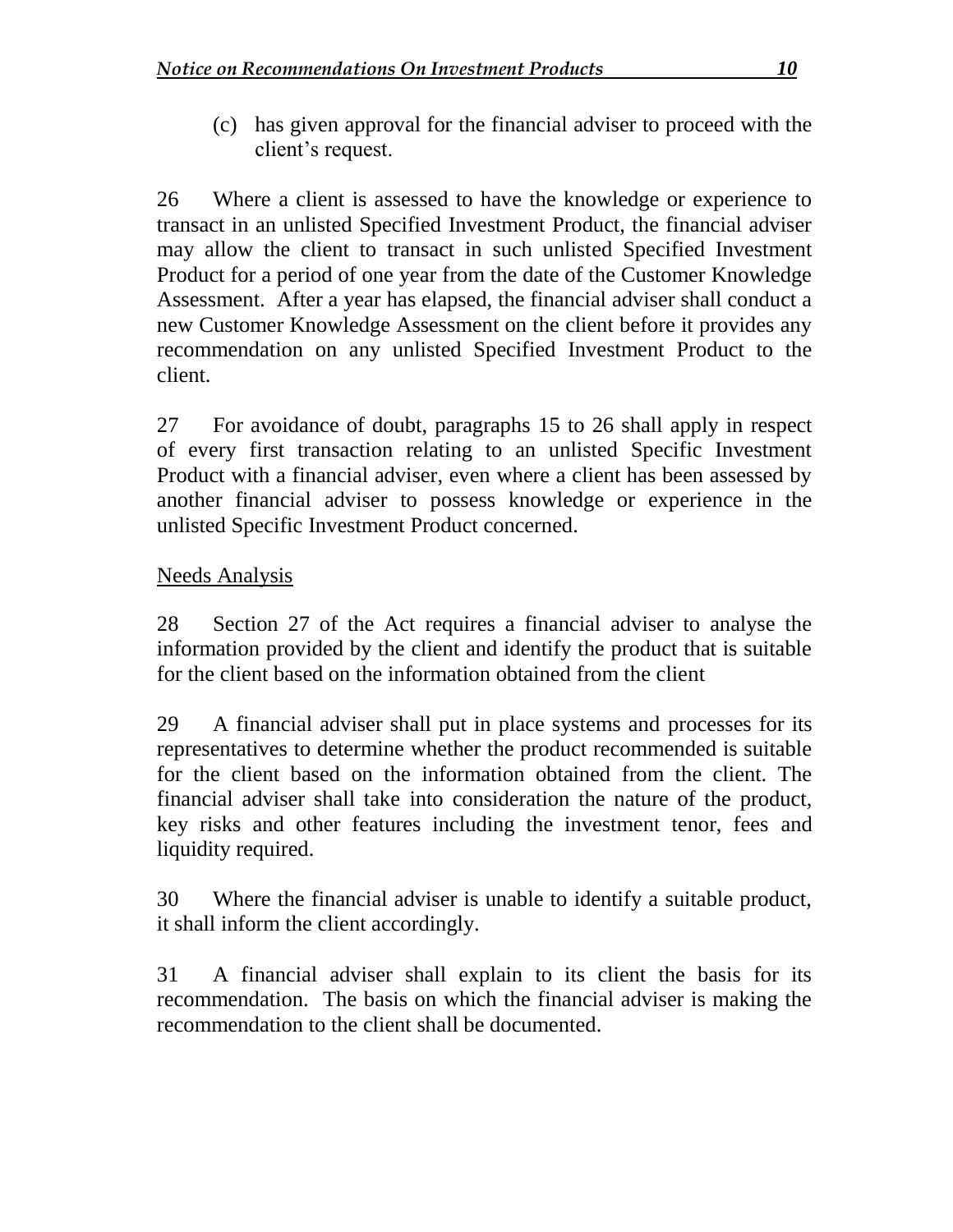(c) has given approval for the financial adviser to proceed with the client's request.

26 Where a client is assessed to have the knowledge or experience to transact in an unlisted Specified Investment Product, the financial adviser may allow the client to transact in such unlisted Specified Investment Product for a period of one year from the date of the Customer Knowledge Assessment. After a year has elapsed, the financial adviser shall conduct a new Customer Knowledge Assessment on the client before it provides any recommendation on any unlisted Specified Investment Product to the client.

27 For avoidance of doubt, paragraphs 15 to 26 shall apply in respect of every first transaction relating to an unlisted Specific Investment Product with a financial adviser, even where a client has been assessed by another financial adviser to possess knowledge or experience in the unlisted Specific Investment Product concerned.

#### Needs Analysis

28 Section 27 of the Act requires a financial adviser to analyse the information provided by the client and identify the product that is suitable for the client based on the information obtained from the client

29 A financial adviser shall put in place systems and processes for its representatives to determine whether the product recommended is suitable for the client based on the information obtained from the client. The financial adviser shall take into consideration the nature of the product, key risks and other features including the investment tenor, fees and liquidity required.

30 Where the financial adviser is unable to identify a suitable product, it shall inform the client accordingly.

31 A financial adviser shall explain to its client the basis for its recommendation. The basis on which the financial adviser is making the recommendation to the client shall be documented.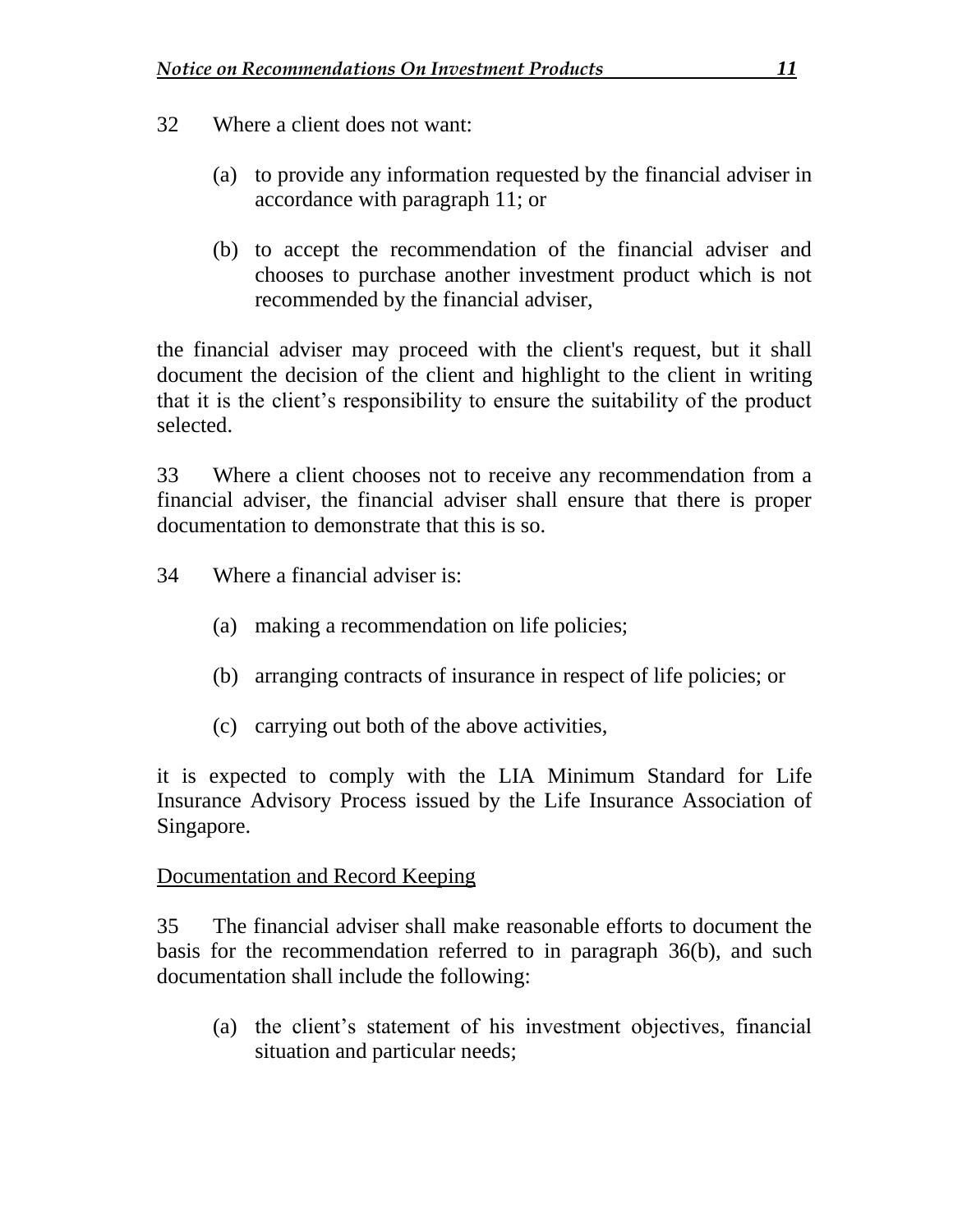- 32 Where a client does not want:
	- (a) to provide any information requested by the financial adviser in accordance with paragraph 11; or
	- (b) to accept the recommendation of the financial adviser and chooses to purchase another investment product which is not recommended by the financial adviser,

the financial adviser may proceed with the client's request, but it shall document the decision of the client and highlight to the client in writing that it is the client's responsibility to ensure the suitability of the product selected.

33 Where a client chooses not to receive any recommendation from a financial adviser, the financial adviser shall ensure that there is proper documentation to demonstrate that this is so.

- 34 Where a financial adviser is:
	- (a) making a recommendation on life policies;
	- (b) arranging contracts of insurance in respect of life policies; or
	- (c) carrying out both of the above activities,

it is expected to comply with the LIA Minimum Standard for Life Insurance Advisory Process issued by the Life Insurance Association of Singapore.

#### Documentation and Record Keeping

35 The financial adviser shall make reasonable efforts to document the basis for the recommendation referred to in paragraph 36(b), and such documentation shall include the following:

(a) the client's statement of his investment objectives, financial situation and particular needs;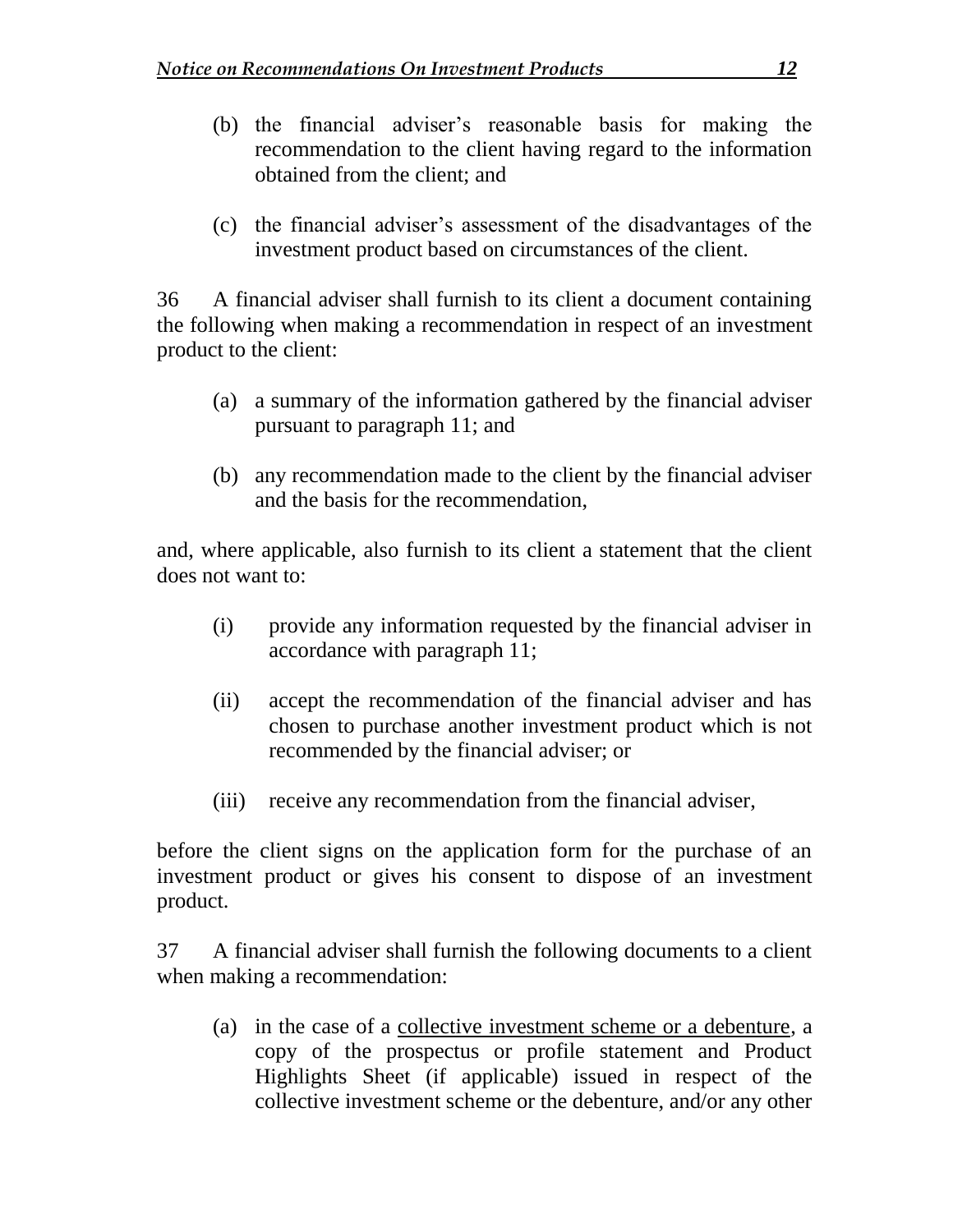- (b) the financial adviser's reasonable basis for making the recommendation to the client having regard to the information obtained from the client; and
- (c) the financial adviser's assessment of the disadvantages of the investment product based on circumstances of the client.

36 A financial adviser shall furnish to its client a document containing the following when making a recommendation in respect of an investment product to the client:

- (a) a summary of the information gathered by the financial adviser pursuant to paragraph 11; and
- (b) any recommendation made to the client by the financial adviser and the basis for the recommendation,

and, where applicable, also furnish to its client a statement that the client does not want to:

- (i) provide any information requested by the financial adviser in accordance with paragraph 11;
- (ii) accept the recommendation of the financial adviser and has chosen to purchase another investment product which is not recommended by the financial adviser; or
- (iii) receive any recommendation from the financial adviser,

before the client signs on the application form for the purchase of an investment product or gives his consent to dispose of an investment product.

37 A financial adviser shall furnish the following documents to a client when making a recommendation:

(a) in the case of a collective investment scheme or a debenture, a copy of the prospectus or profile statement and Product Highlights Sheet (if applicable) issued in respect of the collective investment scheme or the debenture, and/or any other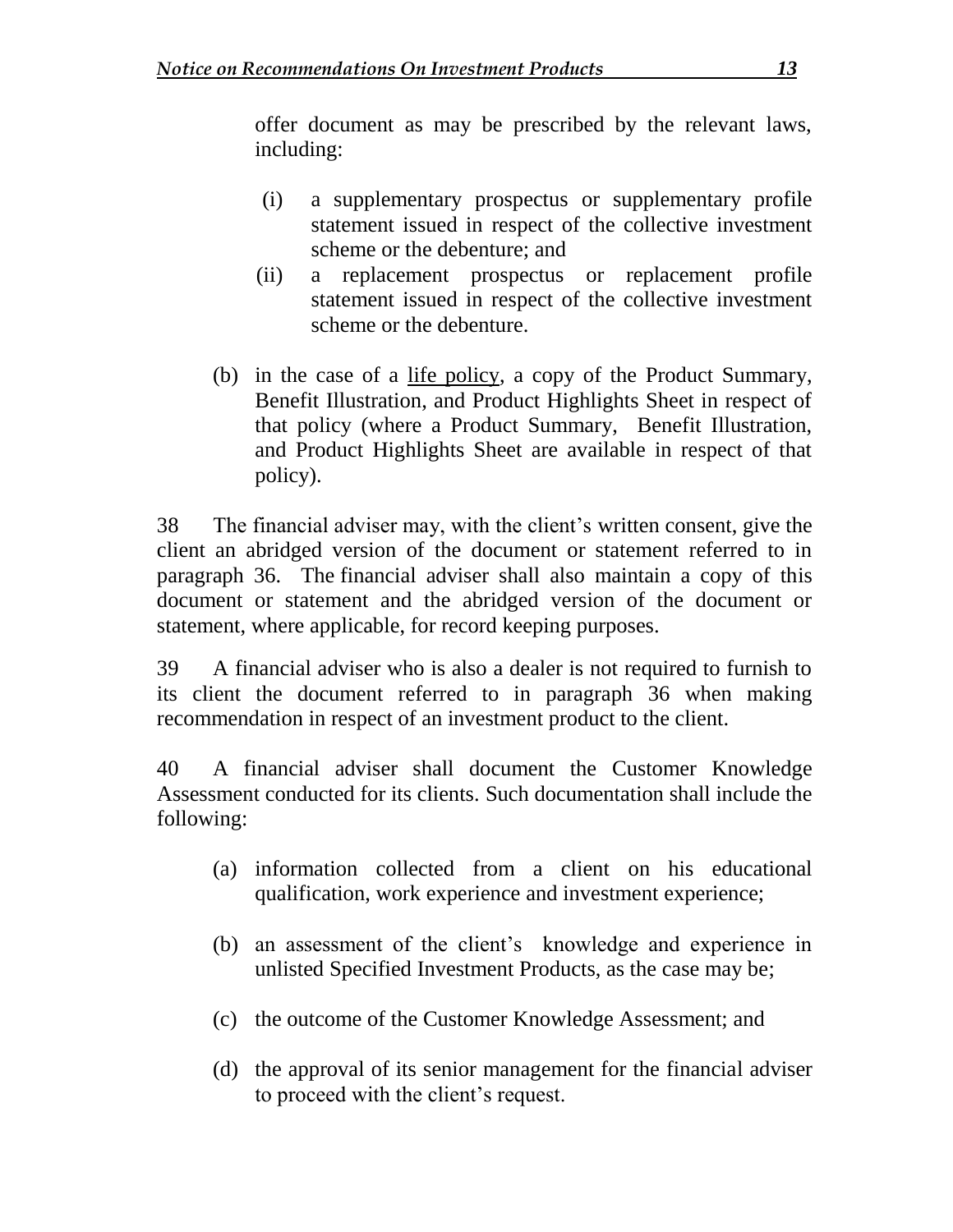offer document as may be prescribed by the relevant laws, including:

- (i) a supplementary prospectus or supplementary profile statement issued in respect of the collective investment scheme or the debenture; and
- (ii) a replacement prospectus or replacement profile statement issued in respect of the collective investment scheme or the debenture.
- (b) in the case of a life policy, a copy of the Product Summary, Benefit Illustration, and Product Highlights Sheet in respect of that policy (where a Product Summary, Benefit Illustration, and Product Highlights Sheet are available in respect of that policy).

38 The financial adviser may, with the client's written consent, give the client an abridged version of the document or statement referred to in paragraph 36. The financial adviser shall also maintain a copy of this document or statement and the abridged version of the document or statement, where applicable, for record keeping purposes.

39 A financial adviser who is also a dealer is not required to furnish to its client the document referred to in paragraph 36 when making recommendation in respect of an investment product to the client.

40 A financial adviser shall document the Customer Knowledge Assessment conducted for its clients. Such documentation shall include the following:

- (a) information collected from a client on his educational qualification, work experience and investment experience;
- (b) an assessment of the client's knowledge and experience in unlisted Specified Investment Products, as the case may be;
- (c) the outcome of the Customer Knowledge Assessment; and
- (d) the approval of its senior management for the financial adviser to proceed with the client's request.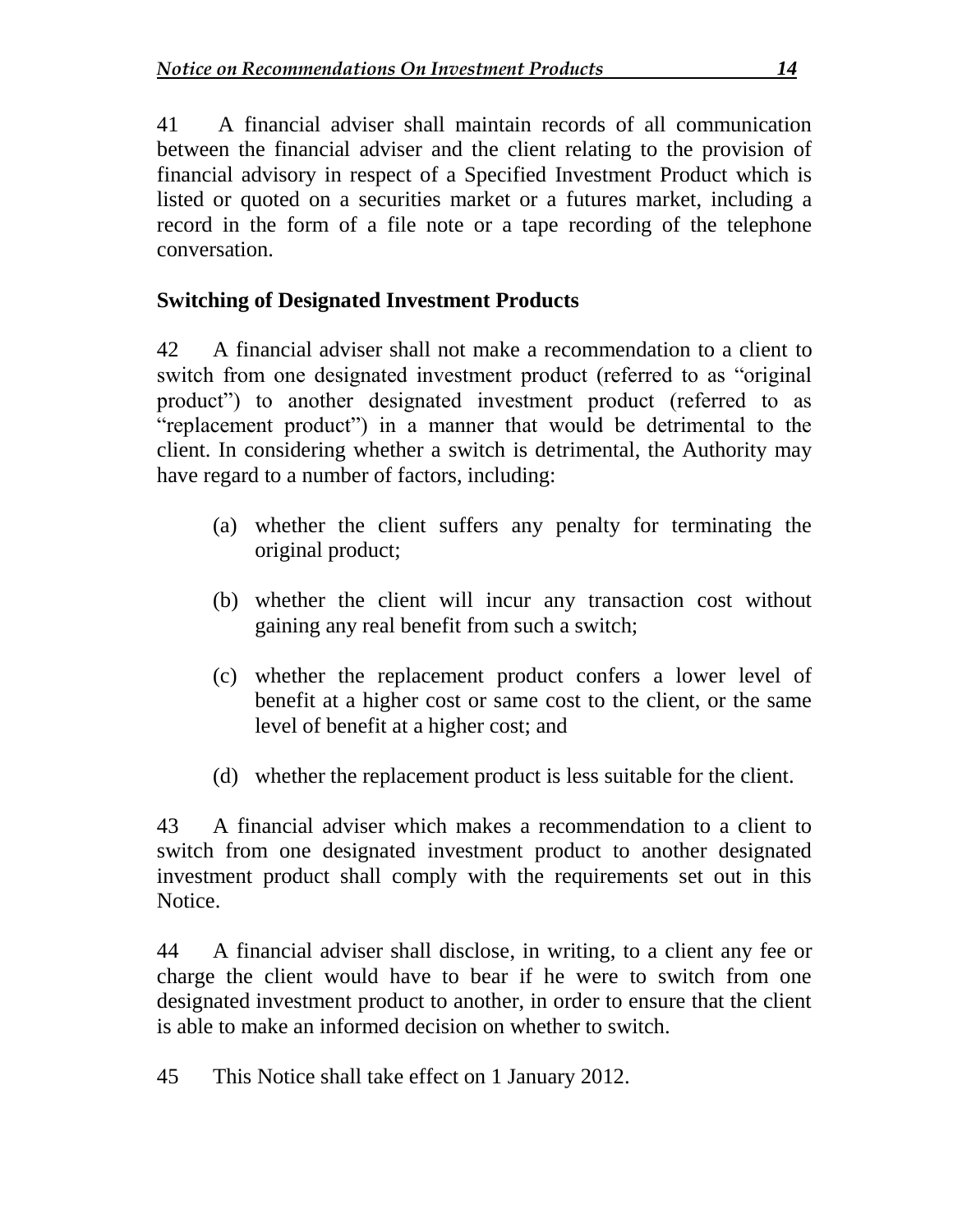41 A financial adviser shall maintain records of all communication between the financial adviser and the client relating to the provision of financial advisory in respect of a Specified Investment Product which is listed or quoted on a securities market or a futures market, including a record in the form of a file note or a tape recording of the telephone conversation.

### **Switching of Designated Investment Products**

42 A financial adviser shall not make a recommendation to a client to switch from one designated investment product (referred to as "original product") to another designated investment product (referred to as "replacement product") in a manner that would be detrimental to the client. In considering whether a switch is detrimental, the Authority may have regard to a number of factors, including:

- (a) whether the client suffers any penalty for terminating the original product;
- (b) whether the client will incur any transaction cost without gaining any real benefit from such a switch;
- (c) whether the replacement product confers a lower level of benefit at a higher cost or same cost to the client, or the same level of benefit at a higher cost; and
- (d) whether the replacement product is less suitable for the client.

43 A financial adviser which makes a recommendation to a client to switch from one designated investment product to another designated investment product shall comply with the requirements set out in this Notice.

44 A financial adviser shall disclose, in writing, to a client any fee or charge the client would have to bear if he were to switch from one designated investment product to another, in order to ensure that the client is able to make an informed decision on whether to switch.

45 This Notice shall take effect on 1 January 2012.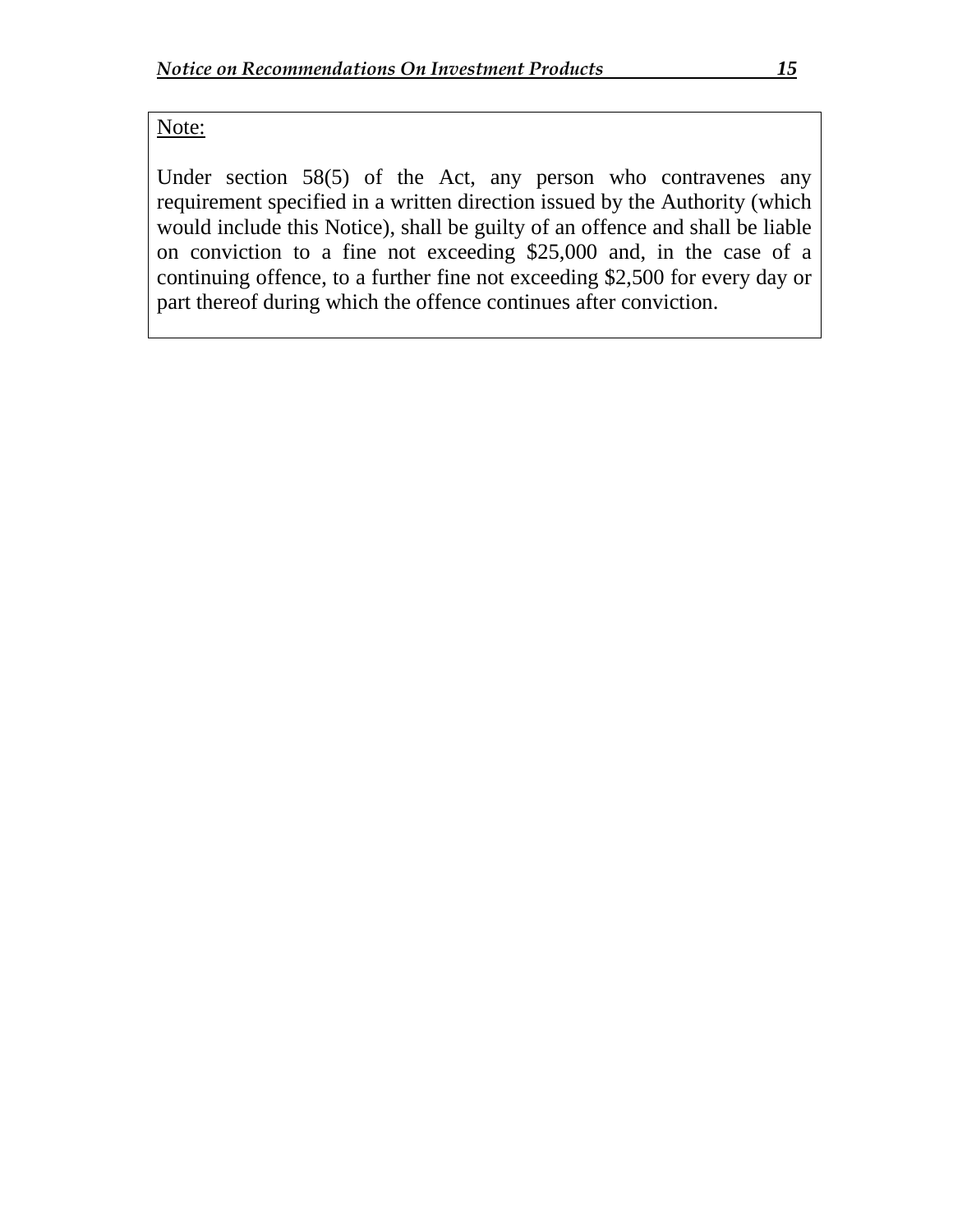#### Note:

Under section 58(5) of the Act, any person who contravenes any requirement specified in a written direction issued by the Authority (which would include this Notice), shall be guilty of an offence and shall be liable on conviction to a fine not exceeding \$25,000 and, in the case of a continuing offence, to a further fine not exceeding \$2,500 for every day or part thereof during which the offence continues after conviction.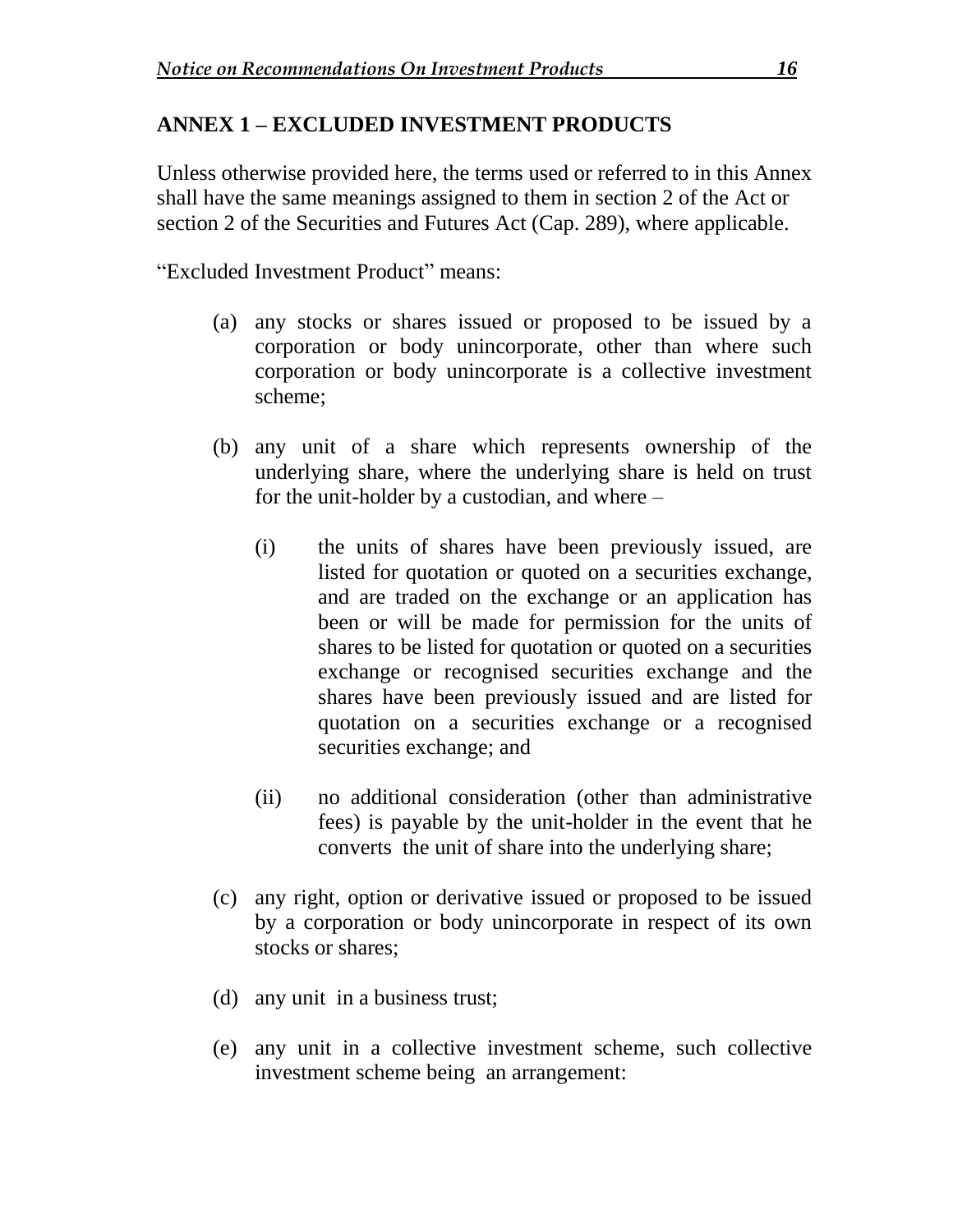#### **ANNEX 1 – EXCLUDED INVESTMENT PRODUCTS**

Unless otherwise provided here, the terms used or referred to in this Annex shall have the same meanings assigned to them in section 2 of the Act or section 2 of the Securities and Futures Act (Cap. 289), where applicable.

"Excluded Investment Product" means:

- (a) any stocks or shares issued or proposed to be issued by a corporation or body unincorporate, other than where such corporation or body unincorporate is a collective investment scheme;
- (b) any unit of a share which represents ownership of the underlying share, where the underlying share is held on trust for the unit-holder by a custodian, and where –
	- (i) the units of shares have been previously issued, are listed for quotation or quoted on a securities exchange, and are traded on the exchange or an application has been or will be made for permission for the units of shares to be listed for quotation or quoted on a securities exchange or recognised securities exchange and the shares have been previously issued and are listed for quotation on a securities exchange or a recognised securities exchange; and
	- (ii) no additional consideration (other than administrative fees) is payable by the unit-holder in the event that he converts the unit of share into the underlying share;
- (c) any right, option or derivative issued or proposed to be issued by a corporation or body unincorporate in respect of its own stocks or shares;
- (d) any unit in a business trust;
- (e) any unit in a collective investment scheme, such collective investment scheme being an arrangement: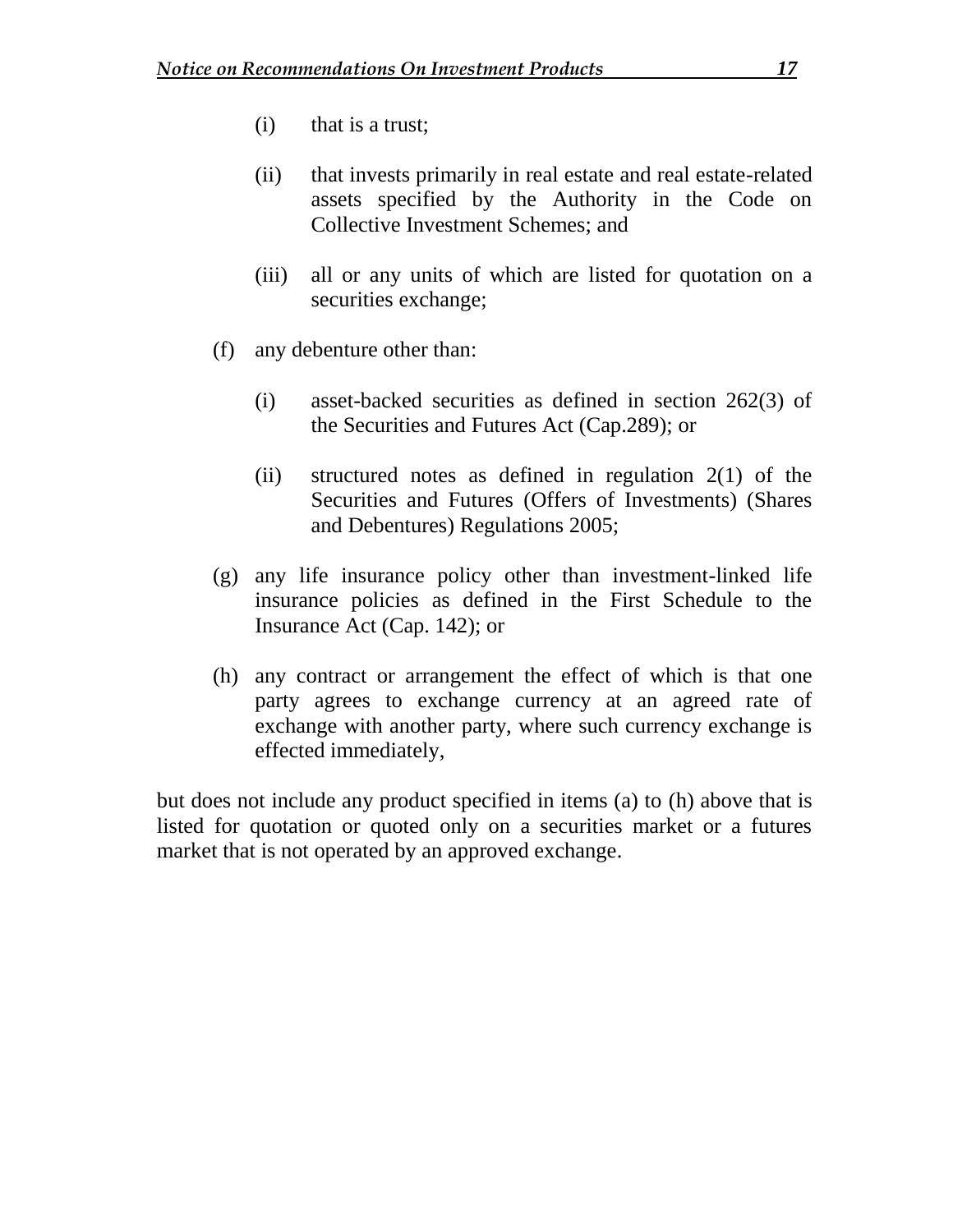- (i) that is a trust;
- (ii) that invests primarily in real estate and real estate-related assets specified by the Authority in the Code on Collective Investment Schemes; and
- (iii) all or any units of which are listed for quotation on a securities exchange;
- (f) any debenture other than:
	- (i) asset-backed securities as defined in section 262(3) of the Securities and Futures Act (Cap.289); or
	- (ii) structured notes as defined in regulation 2(1) of the Securities and Futures (Offers of Investments) (Shares and Debentures) Regulations 2005;
- (g) any life insurance policy other than investment-linked life insurance policies as defined in the First Schedule to the Insurance Act (Cap. 142); or
- (h) any contract or arrangement the effect of which is that one party agrees to exchange currency at an agreed rate of exchange with another party, where such currency exchange is effected immediately,

but does not include any product specified in items (a) to (h) above that is listed for quotation or quoted only on a securities market or a futures market that is not operated by an approved exchange.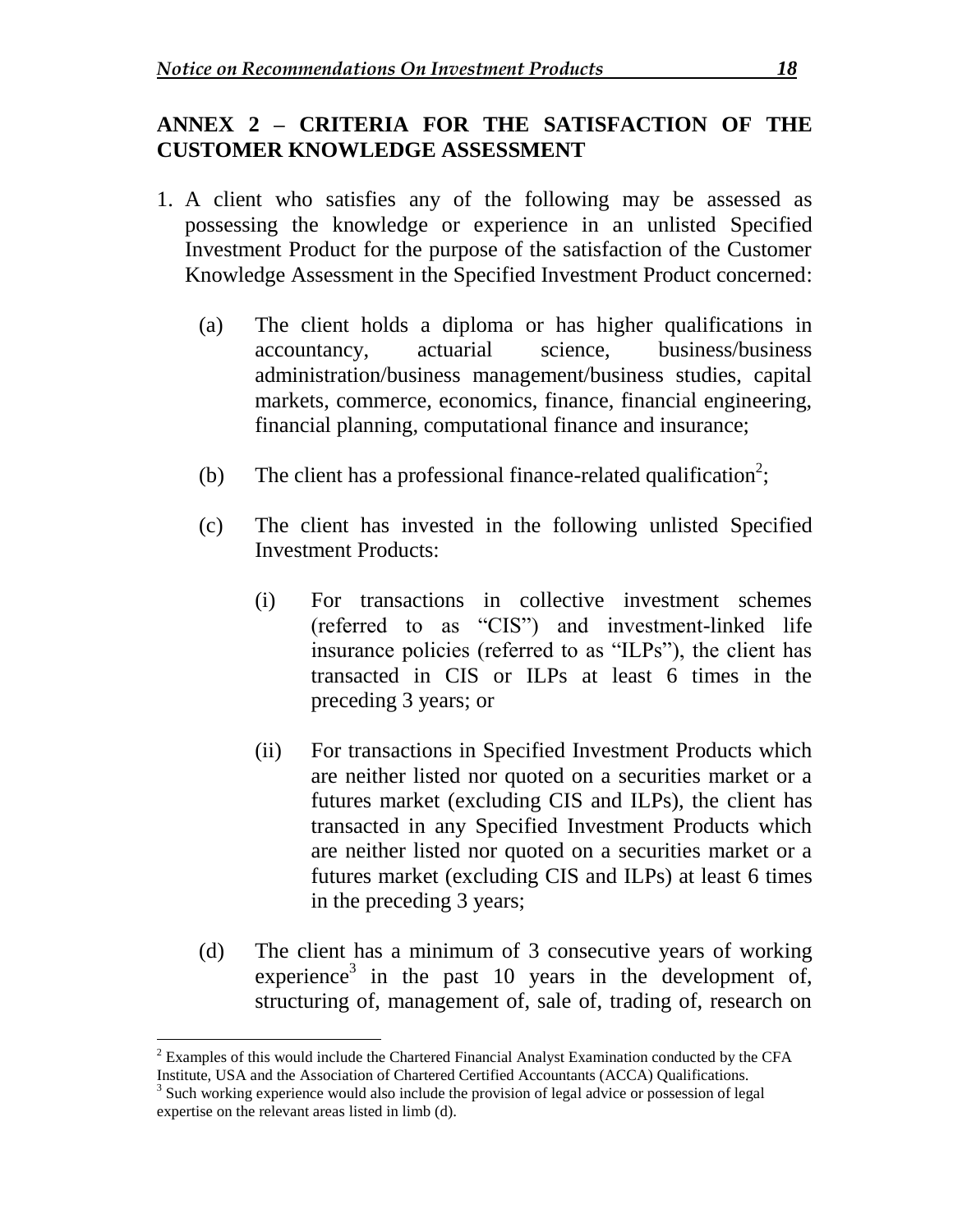#### **ANNEX 2 – CRITERIA FOR THE SATISFACTION OF THE CUSTOMER KNOWLEDGE ASSESSMENT**

- 1. A client who satisfies any of the following may be assessed as possessing the knowledge or experience in an unlisted Specified Investment Product for the purpose of the satisfaction of the Customer Knowledge Assessment in the Specified Investment Product concerned:
	- (a) The client holds a diploma or has higher qualifications in accountancy, actuarial science, business/business administration/business management/business studies, capital markets, commerce, economics, finance, financial engineering, financial planning, computational finance and insurance;
	- (b) The client has a professional finance-related qualification<sup>2</sup>;
	- (c) The client has invested in the following unlisted Specified Investment Products:
		- (i) For transactions in collective investment schemes (referred to as "CIS") and investment-linked life insurance policies (referred to as "ILPs"), the client has transacted in CIS or ILPs at least 6 times in the preceding 3 years; or
		- (ii) For transactions in Specified Investment Products which are neither listed nor quoted on a securities market or a futures market (excluding CIS and ILPs), the client has transacted in any Specified Investment Products which are neither listed nor quoted on a securities market or a futures market (excluding CIS and ILPs) at least 6 times in the preceding 3 years;
	- (d) The client has a minimum of 3 consecutive years of working experience<sup>3</sup> in the past 10 years in the development of, structuring of, management of, sale of, trading of, research on

 $2$  Examples of this would include the Chartered Financial Analyst Examination conducted by the CFA Institute, USA and the Association of Chartered Certified Accountants (ACCA) Qualifications.

<sup>&</sup>lt;sup>3</sup> Such working experience would also include the provision of legal advice or possession of legal expertise on the relevant areas listed in limb (d).